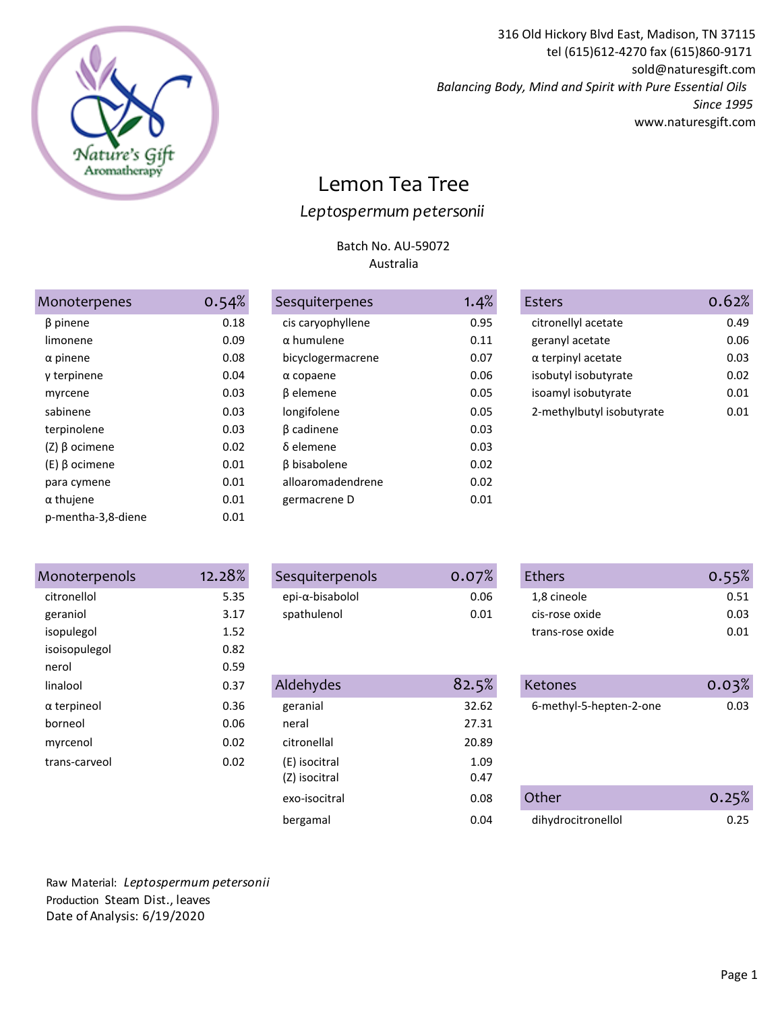

316 Old Hickory Blvd East, Madison, TN 37115 tel (615)612-4270 fax (615)860-9171 sold@naturesgift.com *Balancing Body, Mind and Spirit with Pure Essential Oils Since 1995* www.naturesgift.com

## Lemon Tea Tree *Leptospermum petersonii*

## Batch No. AU-59072 Australia

| Monoterpenes       | 0.54% |
|--------------------|-------|
| β pinene           | 0.18  |
| limonene           | 0.09  |
| $\alpha$ pinene    | 0.08  |
| γ terpinene        | 0.04  |
| myrcene            | 0.03  |
| sabinene           | 0.03  |
| terpinolene        | 0.03  |
| (Ζ) β ocimene      | 0.02  |
| (E) β ocimene      | 0.01  |
| para cymene        | 0.01  |
| $\alpha$ thujene   | 0.01  |
| p-mentha-3,8-diene | 0.01  |

| <i><b>Aonoterpenes</b></i> | 0.54% | Sesquiterpenes      | 1.4% |
|----------------------------|-------|---------------------|------|
| β pinene                   | 0.18  | cis caryophyllene   | 0.95 |
| limonene                   | 0.09  | $\alpha$ humulene   | 0.11 |
| $\alpha$ pinene            | 0.08  | bicyclogermacrene   | 0.07 |
| γ terpinene                | 0.04  | $\alpha$ copaene    | 0.06 |
| myrcene                    | 0.03  | β elemene           | 0.05 |
| sabinene                   | 0.03  | longifolene         | 0.05 |
| terpinolene                | 0.03  | β cadinene          | 0.03 |
| (Z) β ocimene              | 0.02  | δ elemene           | 0.03 |
| (E) β ocimene              | 0.01  | <b>B</b> bisabolene | 0.02 |
| para cymene                | 0.01  | alloaromadendrene   | 0.02 |
| α thujene                  | 0.01  | germacrene D        | 0.01 |
| a maatha 30 digna          | ົດ ດາ |                     |      |

| Monoterpenes    | 0.54% | Sesquiterpenes    | 1.4% | Esters                    | 0.62% |
|-----------------|-------|-------------------|------|---------------------------|-------|
| $\beta$ pinene  | 0.18  | cis caryophyllene | 0.95 | citronellyl acetate       | 0.49  |
| limonene        | 0.09  | $\alpha$ humulene | 0.11 | geranyl acetate           | 0.06  |
| $\alpha$ pinene | 0.08  | bicyclogermacrene | 0.07 | $\alpha$ terpinyl acetate | 0.03  |
| y terpinene     | 0.04  | $\alpha$ copaene  | 0.06 | isobutyl isobutyrate      | 0.02  |
| myrcene         | 0.03  | β elemene         | 0.05 | isoamyl isobutyrate       | 0.01  |
| sabinene        | 0.03  | longifolene       | 0.05 | 2-methylbutyl isobutyrate | 0.01  |
| terninolene     | 0 03  | <b>B</b> cadinene | 0 03 |                           |       |

| Monoterpenols      | 12.28% |
|--------------------|--------|
| citronellol        | 5.35   |
| geraniol           | 3.17   |
| isopulegol         | 1.52   |
| isoisopulegol      | 0.82   |
| nerol              | 0.59   |
| linalool           | 0.37   |
| $\alpha$ terpineol | 0.36   |
| horneol            | 0.06   |
| myrcenol           | 0.02   |
| trans-carveol      | 0.02   |
|                    |        |

| Monoterpenols      | 12.28% | Sesquiterpenols | 0.07% | Ethers                  | 0.55% |
|--------------------|--------|-----------------|-------|-------------------------|-------|
| citronellol        | 5.35   | epi-α-bisabolol | 0.06  | 1,8 cineole             | 0.51  |
| geraniol           | 3.17   | spathulenol     | 0.01  | cis-rose oxide          | 0.03  |
| isopulegol         | 1.52   |                 |       | trans-rose oxide        | 0.01  |
| isoisopulegol      | 0.82   |                 |       |                         |       |
| nerol              | 0.59   |                 |       |                         |       |
| linalool           | 0.37   | Aldehydes       | 82.5% | Ketones                 | 0.03% |
| $\alpha$ terpineol | 0.36   | geranial        | 32.62 | 6-methyl-5-hepten-2-one | 0.03  |
| borneol            | 0.06   | neral           | 27.31 |                         |       |
| myrcenol           | 0.02   | citronellal     | 20.89 |                         |       |
| trans-carveol      | 0.02   | (E) isocitral   | 1.09  |                         |       |
|                    |        | (Z) isocitral   | 0.47  |                         |       |
|                    |        | exo-isocitral   | 0.08  | Other                   | 0.25% |
|                    |        | bergamal        | 0.04  | dihydrocitronellol      | 0.25  |

| <b>Ethers</b>    | 0.55% |
|------------------|-------|
| 1,8 cineole      | 0.51  |
| cis-rose oxide   | 0.03  |
| trans-rose oxide | በ በ1  |

| linalool      | 0.37 | Aldehydes                      | 82.5%        | Ketones                 | 0.03% |
|---------------|------|--------------------------------|--------------|-------------------------|-------|
| α terpineol   | 0.36 | geranial                       | 32.62        | 6-methyl-5-hepten-2-one | 0.03  |
| borneol       | 0.06 | neral                          | 27.31        |                         |       |
| myrcenol      | 0.02 | citronellal                    | 20.89        |                         |       |
| trans-carveol | 0.02 | (E) isocitral<br>(Z) isocitral | 1.09<br>0.47 |                         |       |
|               |      | exo-isocitral                  | 0.08         | Other                   | 0.25% |
|               |      | bergamal                       | 0.04         | dihydrocitronellol      | 0.25  |
|               |      |                                |              |                         |       |

Raw Material: *Leptospermum petersonii* Production Steam Dist., leaves Date of Analysis: 6/19/2020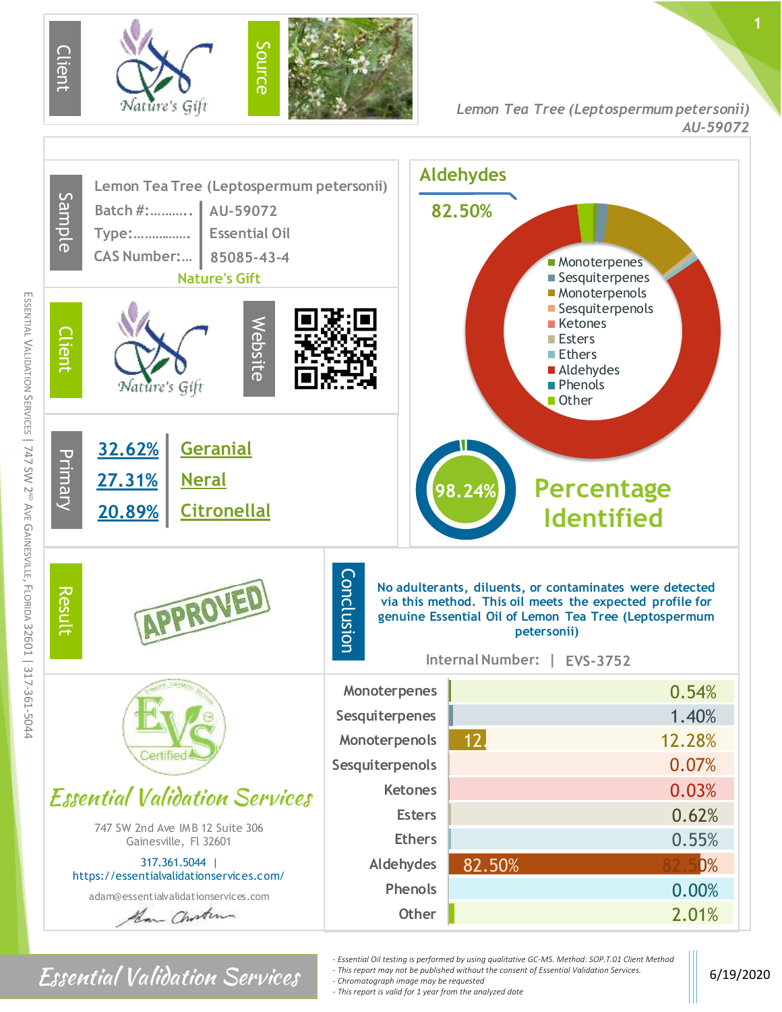



## $\textbf{Essential Valiation}$  6/19/2020

- *- Essential Oil testing is performed by using qualitative GC-MS. Method: SOP.T.01 Client Method*
- *- This report may not be published without the consent of Essential Validation Services.*

*- Chromatograph image may be requested*

m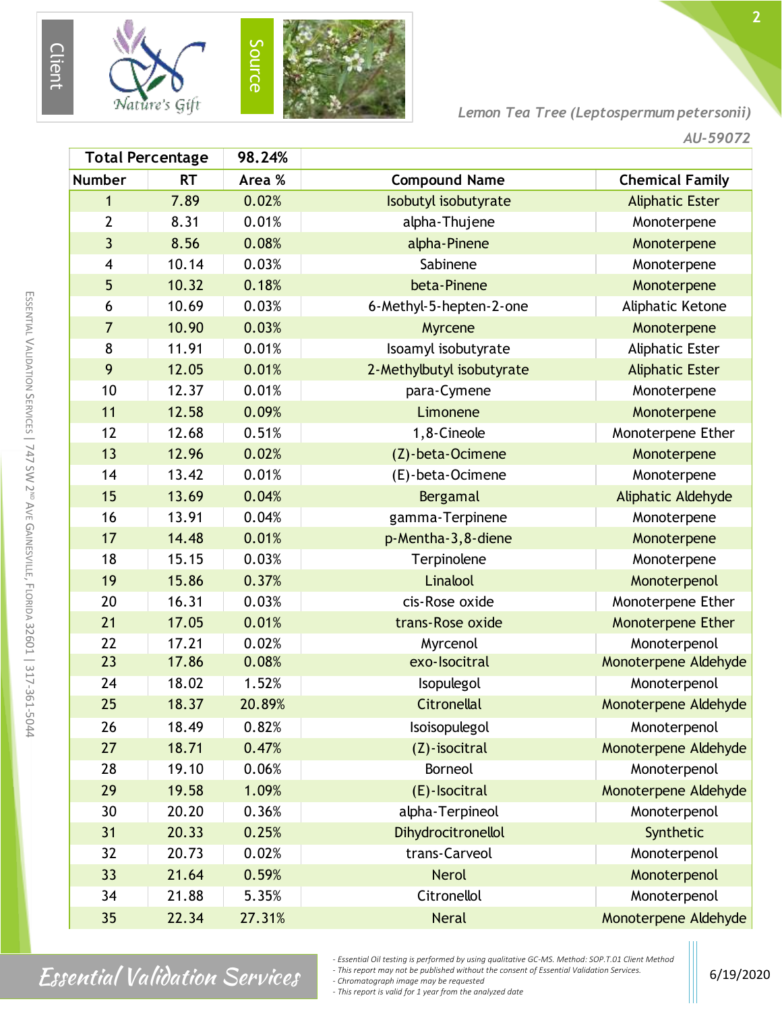

*Lemon Tea Tree (Leptospermum petersonii)*

| 98.24%<br><b>Total Percentage</b> |           |        |                           |                           |
|-----------------------------------|-----------|--------|---------------------------|---------------------------|
| <b>Number</b>                     | <b>RT</b> | Area % | <b>Compound Name</b>      | <b>Chemical Family</b>    |
| $\mathbf{1}$                      | 7.89      | 0.02%  | Isobutyl isobutyrate      | <b>Aliphatic Ester</b>    |
| 2                                 | 8.31      | 0.01%  | alpha-Thujene             | Monoterpene               |
| $\overline{3}$                    | 8.56      | 0.08%  | alpha-Pinene              | Monoterpene               |
| 4                                 | 10.14     | 0.03%  | Sabinene                  | Monoterpene               |
| 5                                 | 10.32     | 0.18%  | beta-Pinene               | Monoterpene               |
| 6                                 | 10.69     | 0.03%  | 6-Methyl-5-hepten-2-one   | Aliphatic Ketone          |
| $\overline{7}$                    | 10.90     | 0.03%  | Myrcene                   | Monoterpene               |
| 8                                 | 11.91     | 0.01%  | Isoamyl isobutyrate       | <b>Aliphatic Ester</b>    |
| 9                                 | 12.05     | 0.01%  | 2-Methylbutyl isobutyrate | <b>Aliphatic Ester</b>    |
| 10                                | 12.37     | 0.01%  | para-Cymene               | Monoterpene               |
| 11                                | 12.58     | 0.09%  | Limonene                  | Monoterpene               |
| 12                                | 12.68     | 0.51%  | 1,8-Cineole               | Monoterpene Ether         |
| 13                                | 12.96     | 0.02%  | (Z)-beta-Ocimene          | Monoterpene               |
| 14                                | 13.42     | 0.01%  | (E)-beta-Ocimene          | Monoterpene               |
| 15                                | 13.69     | 0.04%  | Bergamal                  | <b>Aliphatic Aldehyde</b> |
| 16                                | 13.91     | 0.04%  | gamma-Terpinene           | Monoterpene               |
| 17                                | 14.48     | 0.01%  | p-Mentha-3, 8-diene       | Monoterpene               |
| 18                                | 15.15     | 0.03%  | Terpinolene               | Monoterpene               |
| 19                                | 15.86     | 0.37%  | Linalool                  | Monoterpenol              |
| 20                                | 16.31     | 0.03%  | cis-Rose oxide            | Monoterpene Ether         |
| 21                                | 17.05     | 0.01%  | trans-Rose oxide          | Monoterpene Ether         |
| 22                                | 17.21     | 0.02%  | Myrcenol                  | Monoterpenol              |
| 23                                | 17.86     | 0.08%  | exo-Isocitral             | Monoterpene Aldehyde      |
| 24                                | 18.02     | 1.52%  | Isopulegol                | Monoterpenol              |
| 25                                | 18.37     | 20.89% | <b>Citronellal</b>        | Monoterpene Aldehyde      |
| 26                                | 18.49     | 0.82%  | Isoisopulegol             | Monoterpenol              |
| 27                                | 18.71     | 0.47%  | (Z)-isocitral             | Monoterpene Aldehyde      |
| 28                                | 19.10     | 0.06%  | <b>Borneol</b>            | Monoterpenol              |
| 29                                | 19.58     | 1.09%  | (E)-Isocitral             | Monoterpene Aldehyde      |
| 30                                | 20.20     | 0.36%  | alpha-Terpineol           | Monoterpenol              |
| 31                                | 20.33     | 0.25%  | Dihydrocitronellol        | Synthetic                 |
| 32                                | 20.73     | 0.02%  | trans-Carveol             | Monoterpenol              |
| 33                                | 21.64     | 0.59%  | <b>Nerol</b>              | Monoterpenol              |
| 34                                | 21.88     | 5.35%  | Citronellol               | Monoterpenol              |
| 35                                | 22.34     | 27.31% | <b>Neral</b>              | Monoterpene Aldehyde      |

m

## $\textbf{Essential Valiation}$  Services chromatograph image may be requested

*- This report may not be published without the consent of Essential Validation Services.*

*- Chromatograph image may be requested*

*- This report is valid for 1 year from the analyzed date*

*<sup>-</sup> Essential Oil testing is performed by using qualitative GC-MS. Method: SOP.T.01 Client Method*